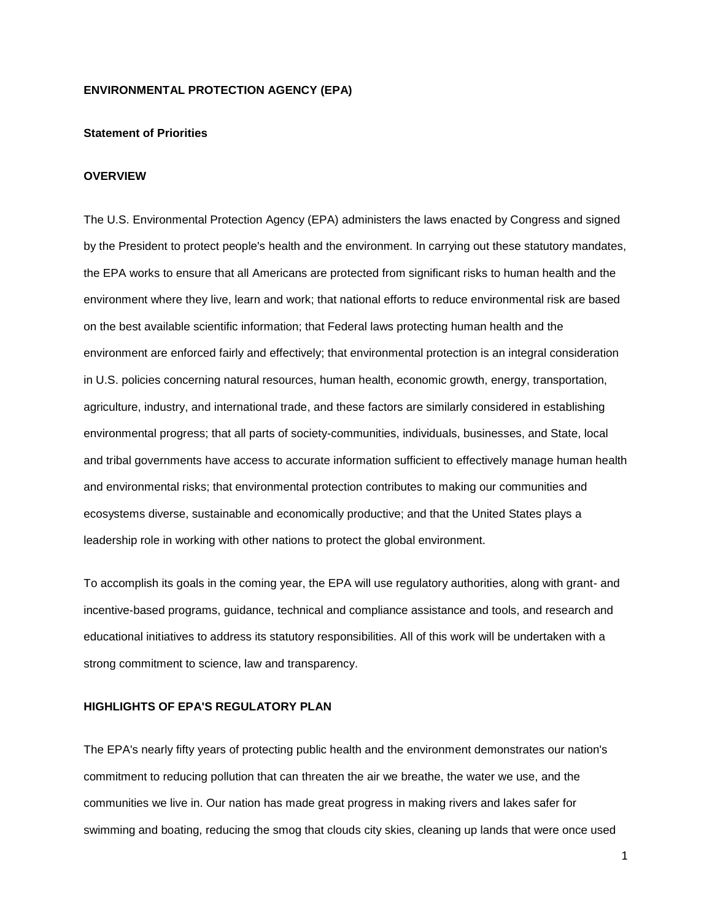#### **ENVIRONMENTAL PROTECTION AGENCY (EPA)**

#### **Statement of Priorities**

#### **OVERVIEW**

The U.S. Environmental Protection Agency (EPA) administers the laws enacted by Congress and signed by the President to protect people's health and the environment. In carrying out these statutory mandates, the EPA works to ensure that all Americans are protected from significant risks to human health and the environment where they live, learn and work; that national efforts to reduce environmental risk are based on the best available scientific information; that Federal laws protecting human health and the environment are enforced fairly and effectively; that environmental protection is an integral consideration in U.S. policies concerning natural resources, human health, economic growth, energy, transportation, agriculture, industry, and international trade, and these factors are similarly considered in establishing environmental progress; that all parts of society-communities, individuals, businesses, and State, local and tribal governments have access to accurate information sufficient to effectively manage human health and environmental risks; that environmental protection contributes to making our communities and ecosystems diverse, sustainable and economically productive; and that the United States plays a leadership role in working with other nations to protect the global environment.

To accomplish its goals in the coming year, the EPA will use regulatory authorities, along with grant- and incentive-based programs, guidance, technical and compliance assistance and tools, and research and educational initiatives to address its statutory responsibilities. All of this work will be undertaken with a strong commitment to science, law and transparency.

#### **HIGHLIGHTS OF EPA'S REGULATORY PLAN**

The EPA's nearly fifty years of protecting public health and the environment demonstrates our nation's commitment to reducing pollution that can threaten the air we breathe, the water we use, and the communities we live in. Our nation has made great progress in making rivers and lakes safer for swimming and boating, reducing the smog that clouds city skies, cleaning up lands that were once used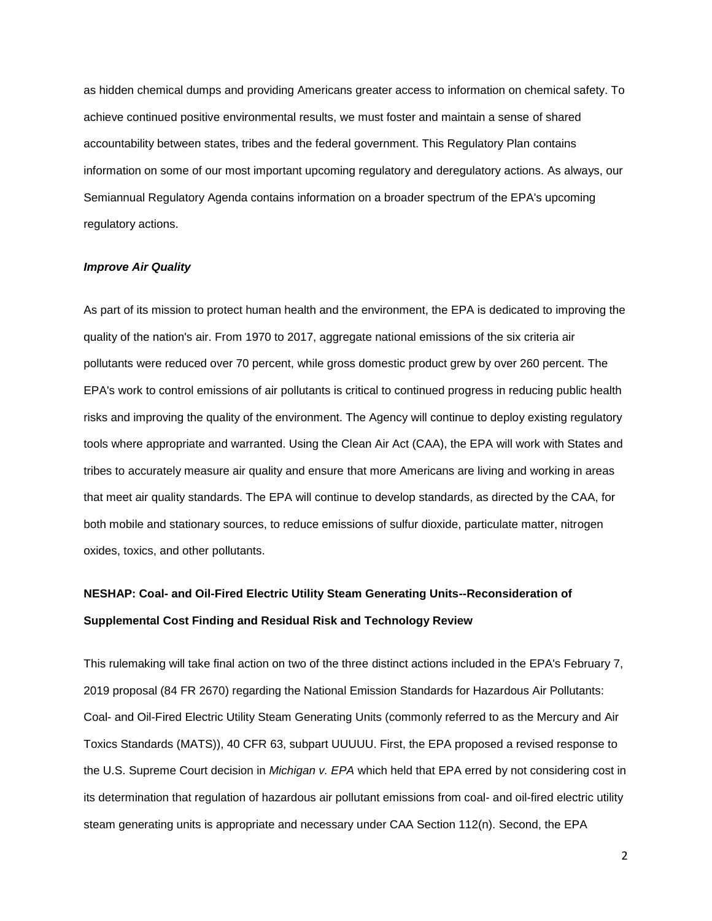as hidden chemical dumps and providing Americans greater access to information on chemical safety. To achieve continued positive environmental results, we must foster and maintain a sense of shared accountability between states, tribes and the federal government. This Regulatory Plan contains information on some of our most important upcoming regulatory and deregulatory actions. As always, our Semiannual Regulatory Agenda contains information on a broader spectrum of the EPA's upcoming regulatory actions.

#### *Improve Air Quality*

As part of its mission to protect human health and the environment, the EPA is dedicated to improving the quality of the nation's air. From 1970 to 2017, aggregate national emissions of the six criteria air pollutants were reduced over 70 percent, while gross domestic product grew by over 260 percent. The EPA's work to control emissions of air pollutants is critical to continued progress in reducing public health risks and improving the quality of the environment. The Agency will continue to deploy existing regulatory tools where appropriate and warranted. Using the Clean Air Act (CAA), the EPA will work with States and tribes to accurately measure air quality and ensure that more Americans are living and working in areas that meet air quality standards. The EPA will continue to develop standards, as directed by the CAA, for both mobile and stationary sources, to reduce emissions of sulfur dioxide, particulate matter, nitrogen oxides, toxics, and other pollutants.

# **NESHAP: Coal- and Oil-Fired Electric Utility Steam Generating Units--Reconsideration of Supplemental Cost Finding and Residual Risk and Technology Review**

This rulemaking will take final action on two of the three distinct actions included in the EPA's February 7, 2019 proposal (84 FR 2670) regarding the National Emission Standards for Hazardous Air Pollutants: Coal- and Oil-Fired Electric Utility Steam Generating Units (commonly referred to as the Mercury and Air Toxics Standards (MATS)), 40 CFR 63, subpart UUUUU. First, the EPA proposed a revised response to the U.S. Supreme Court decision in *Michigan v. EPA* which held that EPA erred by not considering cost in its determination that regulation of hazardous air pollutant emissions from coal- and oil-fired electric utility steam generating units is appropriate and necessary under CAA Section 112(n). Second, the EPA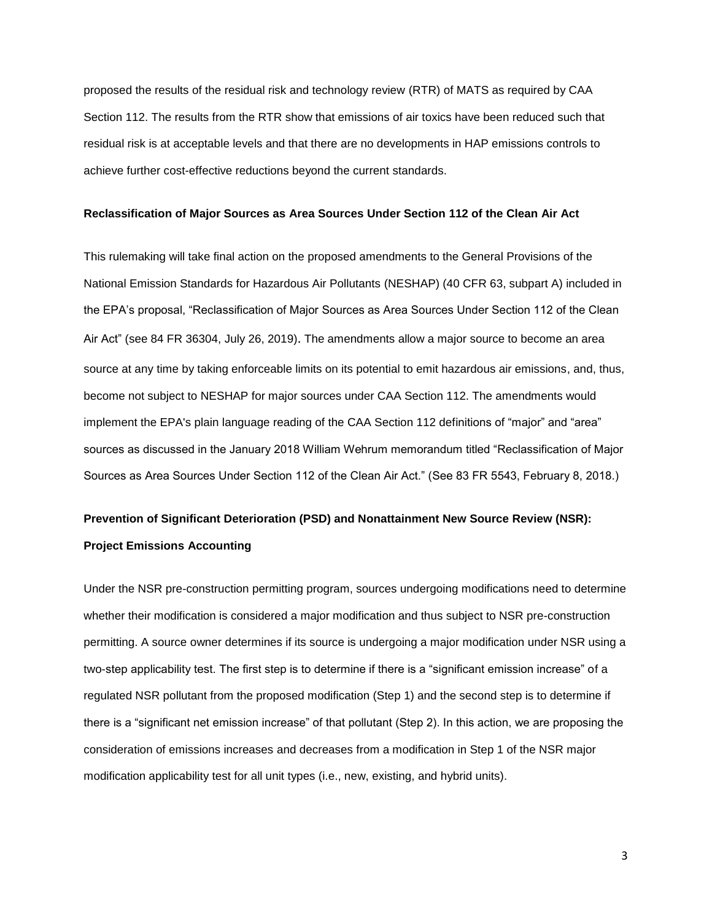proposed the results of the residual risk and technology review (RTR) of MATS as required by CAA Section 112. The results from the RTR show that emissions of air toxics have been reduced such that residual risk is at acceptable levels and that there are no developments in HAP emissions controls to achieve further cost-effective reductions beyond the current standards.

#### **Reclassification of Major Sources as Area Sources Under Section 112 of the Clean Air Act**

This rulemaking will take final action on the proposed amendments to the General Provisions of the National Emission Standards for Hazardous Air Pollutants (NESHAP) (40 CFR 63, subpart A) included in the EPA's proposal, "Reclassification of Major Sources as Area Sources Under Section 112 of the Clean Air Act" (see 84 FR 36304, July 26, 2019). The amendments allow a major source to become an area source at any time by taking enforceable limits on its potential to emit hazardous air emissions, and, thus, become not subject to NESHAP for major sources under CAA Section 112. The amendments would implement the EPA's plain language reading of the CAA Section 112 definitions of "major" and "area" sources as discussed in the January 2018 William Wehrum memorandum titled "Reclassification of Major Sources as Area Sources Under Section 112 of the Clean Air Act." (See 83 FR 5543, February 8, 2018.)

### **Prevention of Significant Deterioration (PSD) and Nonattainment New Source Review (NSR): Project Emissions Accounting**

Under the NSR pre-construction permitting program, sources undergoing modifications need to determine whether their modification is considered a major modification and thus subject to NSR pre-construction permitting. A source owner determines if its source is undergoing a major modification under NSR using a two-step applicability test. The first step is to determine if there is a "significant emission increase" of a regulated NSR pollutant from the proposed modification (Step 1) and the second step is to determine if there is a "significant net emission increase" of that pollutant (Step 2). In this action, we are proposing the consideration of emissions increases and decreases from a modification in Step 1 of the NSR major modification applicability test for all unit types (i.e., new, existing, and hybrid units).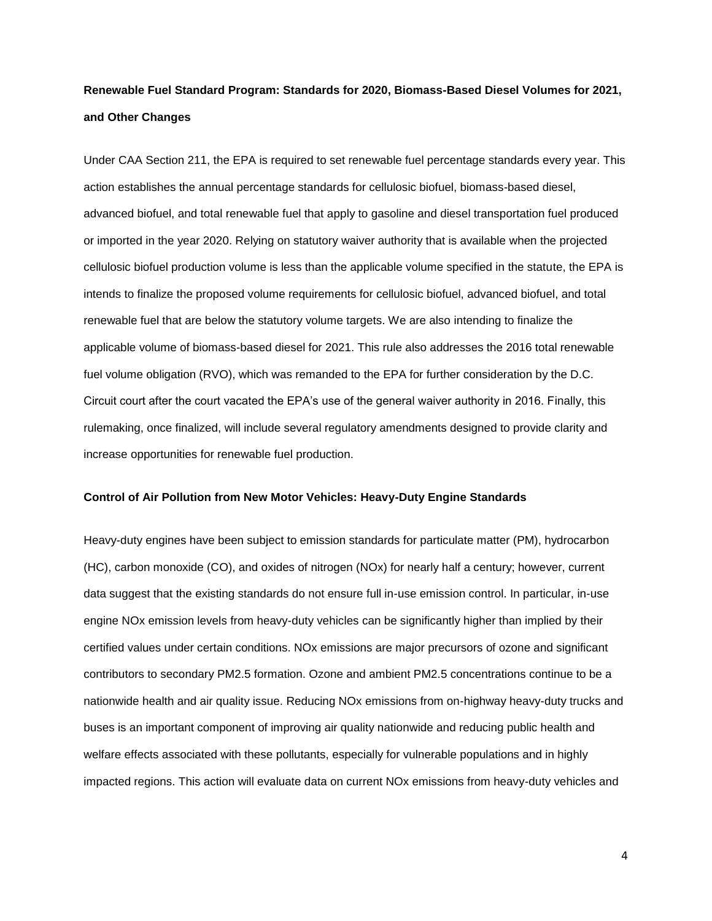# **Renewable Fuel Standard Program: Standards for 2020, Biomass-Based Diesel Volumes for 2021, and Other Changes**

Under CAA Section 211, the EPA is required to set renewable fuel percentage standards every year. This action establishes the annual percentage standards for cellulosic biofuel, biomass-based diesel, advanced biofuel, and total renewable fuel that apply to gasoline and diesel transportation fuel produced or imported in the year 2020. Relying on statutory waiver authority that is available when the projected cellulosic biofuel production volume is less than the applicable volume specified in the statute, the EPA is intends to finalize the proposed volume requirements for cellulosic biofuel, advanced biofuel, and total renewable fuel that are below the statutory volume targets. We are also intending to finalize the applicable volume of biomass-based diesel for 2021. This rule also addresses the 2016 total renewable fuel volume obligation (RVO), which was remanded to the EPA for further consideration by the D.C. Circuit court after the court vacated the EPA's use of the general waiver authority in 2016. Finally, this rulemaking, once finalized, will include several regulatory amendments designed to provide clarity and increase opportunities for renewable fuel production.

#### **Control of Air Pollution from New Motor Vehicles: Heavy-Duty Engine Standards**

Heavy-duty engines have been subject to emission standards for particulate matter (PM), hydrocarbon (HC), carbon monoxide (CO), and oxides of nitrogen (NOx) for nearly half a century; however, current data suggest that the existing standards do not ensure full in-use emission control. In particular, in-use engine NOx emission levels from heavy-duty vehicles can be significantly higher than implied by their certified values under certain conditions. NOx emissions are major precursors of ozone and significant contributors to secondary PM2.5 formation. Ozone and ambient PM2.5 concentrations continue to be a nationwide health and air quality issue. Reducing NOx emissions from on-highway heavy-duty trucks and buses is an important component of improving air quality nationwide and reducing public health and welfare effects associated with these pollutants, especially for vulnerable populations and in highly impacted regions. This action will evaluate data on current NOx emissions from heavy-duty vehicles and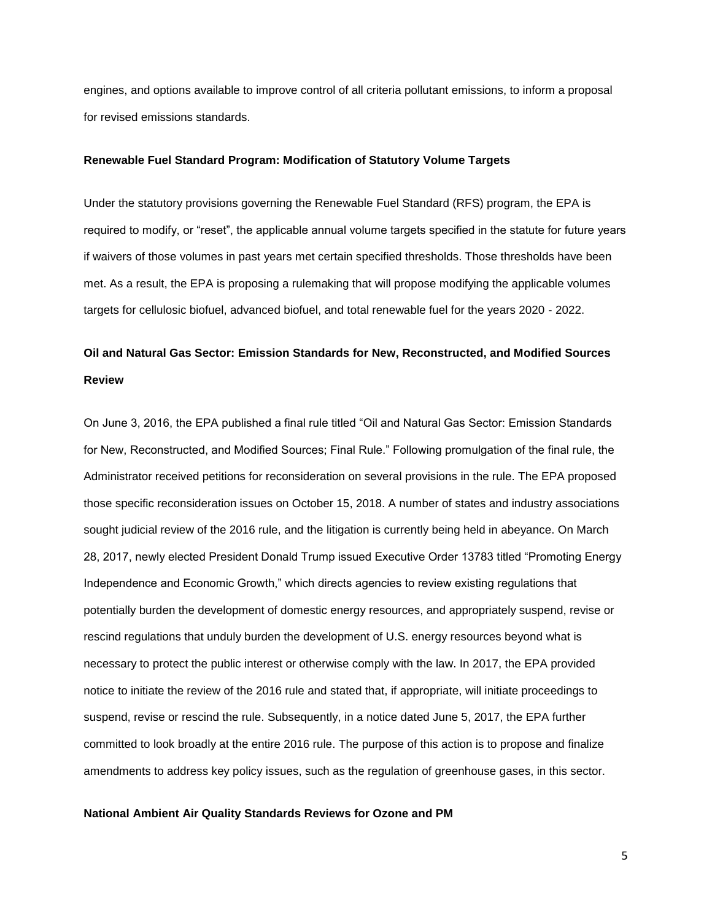engines, and options available to improve control of all criteria pollutant emissions, to inform a proposal for revised emissions standards.

#### **Renewable Fuel Standard Program: Modification of Statutory Volume Targets**

Under the statutory provisions governing the Renewable Fuel Standard (RFS) program, the EPA is required to modify, or "reset", the applicable annual volume targets specified in the statute for future years if waivers of those volumes in past years met certain specified thresholds. Those thresholds have been met. As a result, the EPA is proposing a rulemaking that will propose modifying the applicable volumes targets for cellulosic biofuel, advanced biofuel, and total renewable fuel for the years 2020 - 2022.

### **Oil and Natural Gas Sector: Emission Standards for New, Reconstructed, and Modified Sources Review**

On June 3, 2016, the EPA published a final rule titled "Oil and Natural Gas Sector: Emission Standards for New, Reconstructed, and Modified Sources; Final Rule." Following promulgation of the final rule, the Administrator received petitions for reconsideration on several provisions in the rule. The EPA proposed those specific reconsideration issues on October 15, 2018. A number of states and industry associations sought judicial review of the 2016 rule, and the litigation is currently being held in abeyance. On March 28, 2017, newly elected President Donald Trump issued Executive Order 13783 titled "Promoting Energy Independence and Economic Growth," which directs agencies to review existing regulations that potentially burden the development of domestic energy resources, and appropriately suspend, revise or rescind regulations that unduly burden the development of U.S. energy resources beyond what is necessary to protect the public interest or otherwise comply with the law. In 2017, the EPA provided notice to initiate the review of the 2016 rule and stated that, if appropriate, will initiate proceedings to suspend, revise or rescind the rule. Subsequently, in a notice dated June 5, 2017, the EPA further committed to look broadly at the entire 2016 rule. The purpose of this action is to propose and finalize amendments to address key policy issues, such as the regulation of greenhouse gases, in this sector.

#### **National Ambient Air Quality Standards Reviews for Ozone and PM**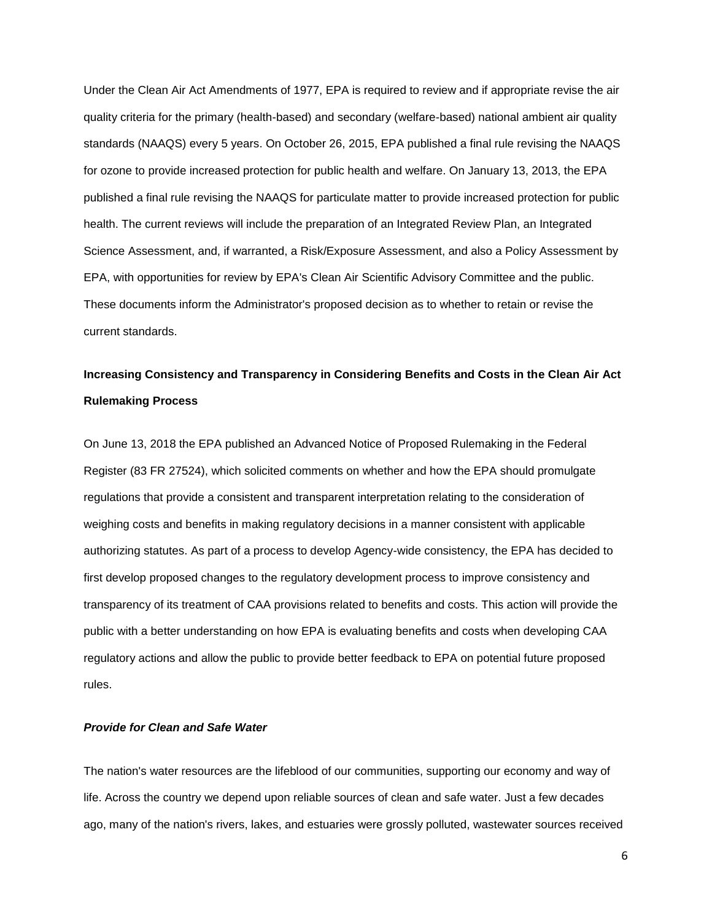Under the Clean Air Act Amendments of 1977, EPA is required to review and if appropriate revise the air quality criteria for the primary (health-based) and secondary (welfare-based) national ambient air quality standards (NAAQS) every 5 years. On October 26, 2015, EPA published a final rule revising the NAAQS for ozone to provide increased protection for public health and welfare. On January 13, 2013, the EPA published a final rule revising the NAAQS for particulate matter to provide increased protection for public health. The current reviews will include the preparation of an Integrated Review Plan, an Integrated Science Assessment, and, if warranted, a Risk/Exposure Assessment, and also a Policy Assessment by EPA, with opportunities for review by EPA's Clean Air Scientific Advisory Committee and the public. These documents inform the Administrator's proposed decision as to whether to retain or revise the current standards.

### **Increasing Consistency and Transparency in Considering Benefits and Costs in the Clean Air Act Rulemaking Process**

On June 13, 2018 the EPA published an Advanced Notice of Proposed Rulemaking in the Federal Register (83 FR 27524), which solicited comments on whether and how the EPA should promulgate regulations that provide a consistent and transparent interpretation relating to the consideration of weighing costs and benefits in making regulatory decisions in a manner consistent with applicable authorizing statutes. As part of a process to develop Agency-wide consistency, the EPA has decided to first develop proposed changes to the regulatory development process to improve consistency and transparency of its treatment of CAA provisions related to benefits and costs. This action will provide the public with a better understanding on how EPA is evaluating benefits and costs when developing CAA regulatory actions and allow the public to provide better feedback to EPA on potential future proposed rules.

#### *Provide for Clean and Safe Water*

The nation's water resources are the lifeblood of our communities, supporting our economy and way of life. Across the country we depend upon reliable sources of clean and safe water. Just a few decades ago, many of the nation's rivers, lakes, and estuaries were grossly polluted, wastewater sources received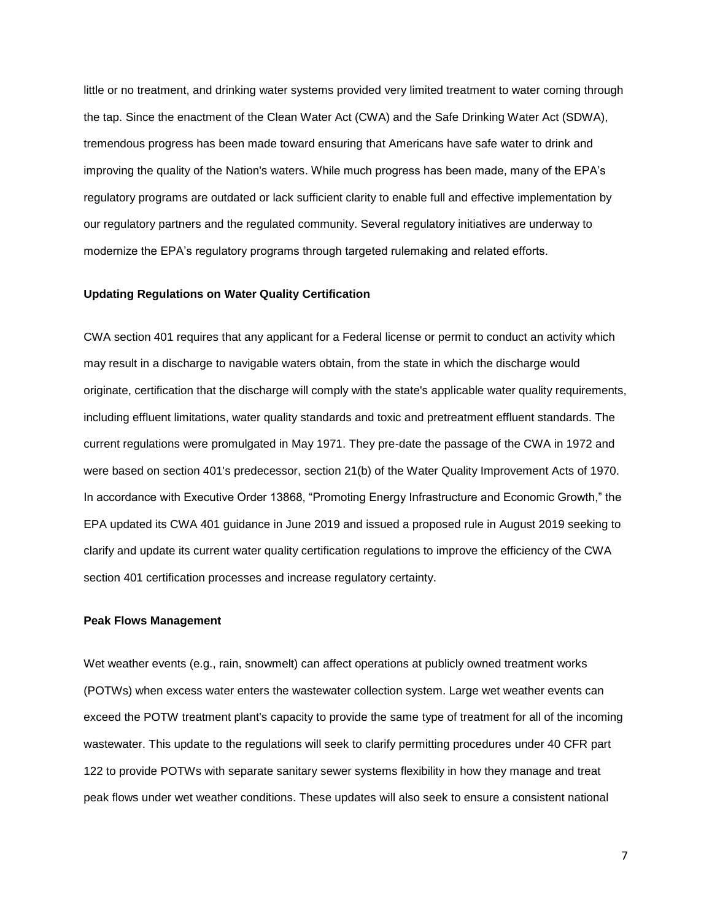little or no treatment, and drinking water systems provided very limited treatment to water coming through the tap. Since the enactment of the Clean Water Act (CWA) and the Safe Drinking Water Act (SDWA), tremendous progress has been made toward ensuring that Americans have safe water to drink and improving the quality of the Nation's waters. While much progress has been made, many of the EPA's regulatory programs are outdated or lack sufficient clarity to enable full and effective implementation by our regulatory partners and the regulated community. Several regulatory initiatives are underway to modernize the EPA's regulatory programs through targeted rulemaking and related efforts.

#### **Updating Regulations on Water Quality Certification**

CWA section 401 requires that any applicant for a Federal license or permit to conduct an activity which may result in a discharge to navigable waters obtain, from the state in which the discharge would originate, certification that the discharge will comply with the state's applicable water quality requirements, including effluent limitations, water quality standards and toxic and pretreatment effluent standards. The current regulations were promulgated in May 1971. They pre-date the passage of the CWA in 1972 and were based on section 401's predecessor, section 21(b) of the Water Quality Improvement Acts of 1970. In accordance with Executive Order 13868, "Promoting Energy Infrastructure and Economic Growth," the EPA updated its CWA 401 guidance in June 2019 and issued a proposed rule in August 2019 seeking to clarify and update its current water quality certification regulations to improve the efficiency of the CWA section 401 certification processes and increase regulatory certainty.

#### **Peak Flows Management**

Wet weather events (e.g., rain, snowmelt) can affect operations at publicly owned treatment works (POTWs) when excess water enters the wastewater collection system. Large wet weather events can exceed the POTW treatment plant's capacity to provide the same type of treatment for all of the incoming wastewater. This update to the regulations will seek to clarify permitting procedures under 40 CFR part 122 to provide POTWs with separate sanitary sewer systems flexibility in how they manage and treat peak flows under wet weather conditions. These updates will also seek to ensure a consistent national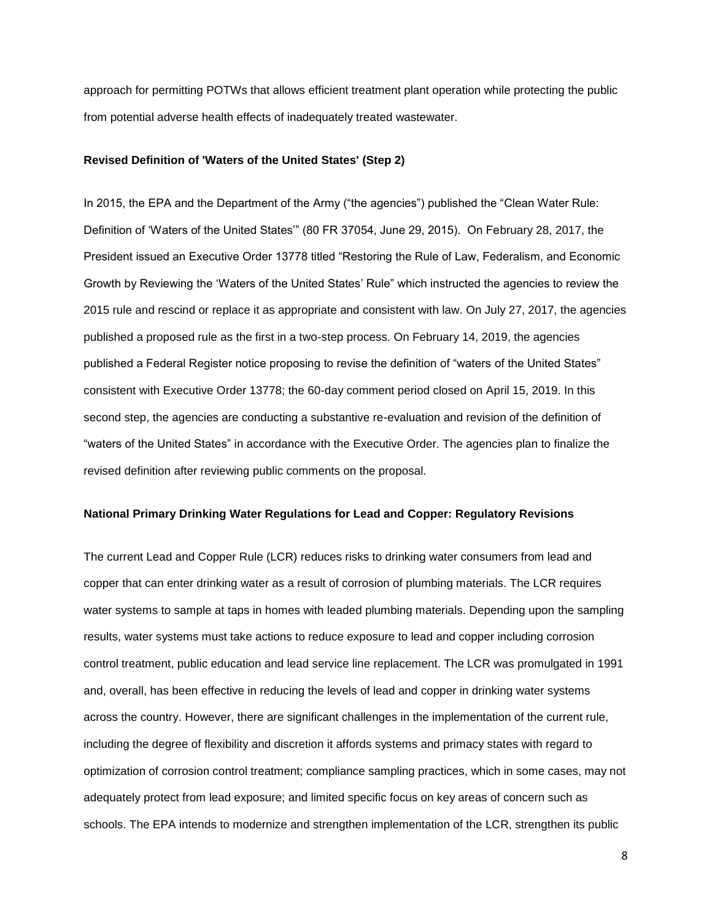approach for permitting POTWs that allows efficient treatment plant operation while protecting the public from potential adverse health effects of inadequately treated wastewater.

#### **Revised Definition of 'Waters of the United States' (Step 2)**

In 2015, the EPA and the Department of the Army ("the agencies") published the "Clean Water Rule: Definition of 'Waters of the United States'" (80 FR 37054, June 29, 2015). On February 28, 2017, the President issued an Executive Order 13778 titled "Restoring the Rule of Law, Federalism, and Economic Growth by Reviewing the 'Waters of the United States' Rule" which instructed the agencies to review the 2015 rule and rescind or replace it as appropriate and consistent with law. On July 27, 2017, the agencies published a proposed rule as the first in a two-step process. On February 14, 2019, the agencies published a Federal Register notice proposing to revise the definition of "waters of the United States" consistent with Executive Order 13778; the 60-day comment period closed on April 15, 2019. In this second step, the agencies are conducting a substantive re-evaluation and revision of the definition of "waters of the United States" in accordance with the Executive Order. The agencies plan to finalize the revised definition after reviewing public comments on the proposal.

#### **National Primary Drinking Water Regulations for Lead and Copper: Regulatory Revisions**

The current Lead and Copper Rule (LCR) reduces risks to drinking water consumers from lead and copper that can enter drinking water as a result of corrosion of plumbing materials. The LCR requires water systems to sample at taps in homes with leaded plumbing materials. Depending upon the sampling results, water systems must take actions to reduce exposure to lead and copper including corrosion control treatment, public education and lead service line replacement. The LCR was promulgated in 1991 and, overall, has been effective in reducing the levels of lead and copper in drinking water systems across the country. However, there are significant challenges in the implementation of the current rule, including the degree of flexibility and discretion it affords systems and primacy states with regard to optimization of corrosion control treatment; compliance sampling practices, which in some cases, may not adequately protect from lead exposure; and limited specific focus on key areas of concern such as schools. The EPA intends to modernize and strengthen implementation of the LCR, strengthen its public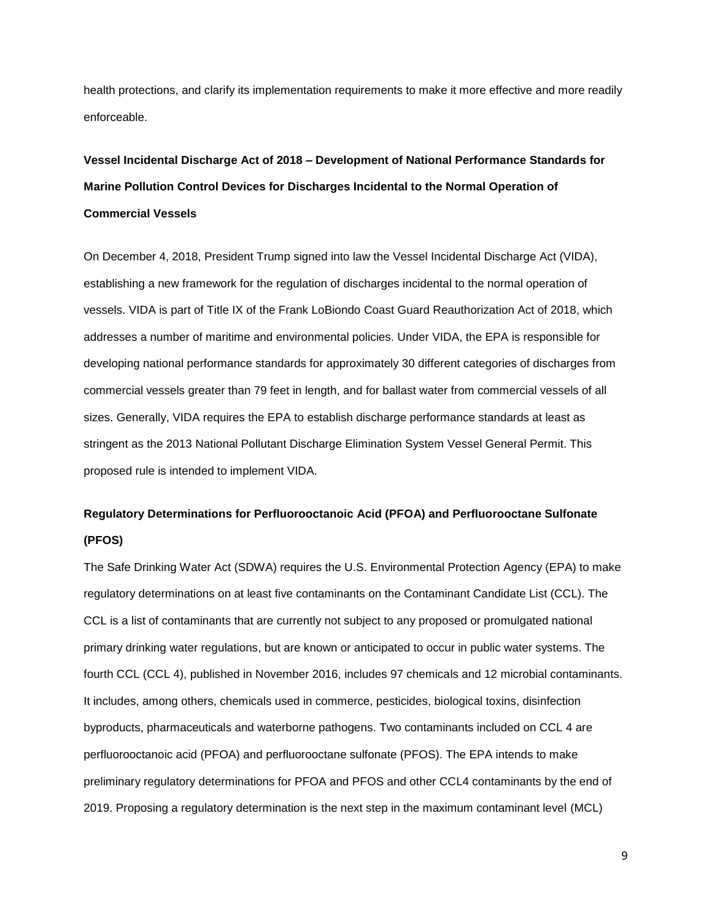health protections, and clarify its implementation requirements to make it more effective and more readily enforceable.

# **Vessel Incidental Discharge Act of 2018 – Development of National Performance Standards for Marine Pollution Control Devices for Discharges Incidental to the Normal Operation of Commercial Vessels**

On December 4, 2018, President Trump signed into law the Vessel Incidental Discharge Act (VIDA), establishing a new framework for the regulation of discharges incidental to the normal operation of vessels. VIDA is part of Title IX of the Frank LoBiondo Coast Guard Reauthorization Act of 2018, which addresses a number of maritime and environmental policies. Under VIDA, the EPA is responsible for developing national performance standards for approximately 30 different categories of discharges from commercial vessels greater than 79 feet in length, and for ballast water from commercial vessels of all sizes. Generally, VIDA requires the EPA to establish discharge performance standards at least as stringent as the 2013 National Pollutant Discharge Elimination System Vessel General Permit. This proposed rule is intended to implement VIDA.

### **Regulatory Determinations for Perfluorooctanoic Acid (PFOA) and Perfluorooctane Sulfonate (PFOS)**

The Safe Drinking Water Act (SDWA) requires the U.S. Environmental Protection Agency (EPA) to make regulatory determinations on at least five contaminants on the Contaminant Candidate List (CCL). The CCL is a list of contaminants that are currently not subject to any proposed or promulgated national primary drinking water regulations, but are known or anticipated to occur in public water systems. The fourth CCL (CCL 4), published in November 2016, includes 97 chemicals and 12 microbial contaminants. It includes, among others, chemicals used in commerce, pesticides, biological toxins, disinfection byproducts, pharmaceuticals and waterborne pathogens. Two contaminants included on CCL 4 are perfluorooctanoic acid (PFOA) and perfluorooctane sulfonate (PFOS). The EPA intends to make preliminary regulatory determinations for PFOA and PFOS and other CCL4 contaminants by the end of 2019. Proposing a regulatory determination is the next step in the maximum contaminant level (MCL)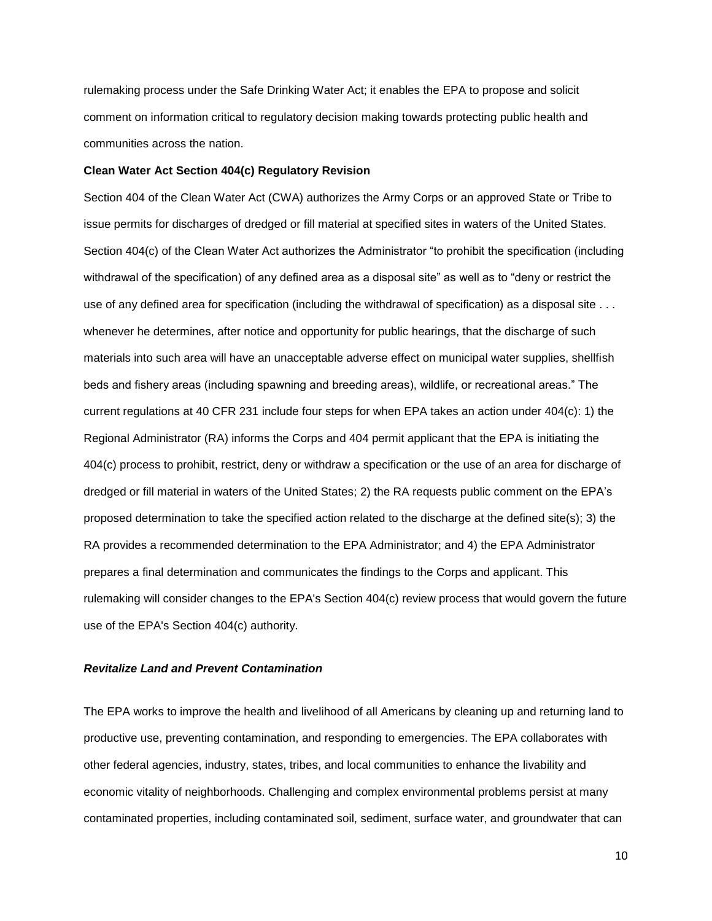rulemaking process under the Safe Drinking Water Act; it enables the EPA to propose and solicit comment on information critical to regulatory decision making towards protecting public health and communities across the nation.

#### **Clean Water Act Section 404(c) Regulatory Revision**

Section 404 of the Clean Water Act (CWA) authorizes the Army Corps or an approved State or Tribe to issue permits for discharges of dredged or fill material at specified sites in waters of the United States. Section 404(c) of the Clean Water Act authorizes the Administrator "to prohibit the specification (including withdrawal of the specification) of any defined area as a disposal site" as well as to "deny or restrict the use of any defined area for specification (including the withdrawal of specification) as a disposal site . . . whenever he determines, after notice and opportunity for public hearings, that the discharge of such materials into such area will have an unacceptable adverse effect on municipal water supplies, shellfish beds and fishery areas (including spawning and breeding areas), wildlife, or recreational areas." The current regulations at 40 CFR 231 include four steps for when EPA takes an action under 404(c): 1) the Regional Administrator (RA) informs the Corps and 404 permit applicant that the EPA is initiating the 404(c) process to prohibit, restrict, deny or withdraw a specification or the use of an area for discharge of dredged or fill material in waters of the United States; 2) the RA requests public comment on the EPA's proposed determination to take the specified action related to the discharge at the defined site(s); 3) the RA provides a recommended determination to the EPA Administrator; and 4) the EPA Administrator prepares a final determination and communicates the findings to the Corps and applicant. This rulemaking will consider changes to the EPA's Section 404(c) review process that would govern the future use of the EPA's Section 404(c) authority.

#### *Revitalize Land and Prevent Contamination*

The EPA works to improve the health and livelihood of all Americans by cleaning up and returning land to productive use, preventing contamination, and responding to emergencies. The EPA collaborates with other federal agencies, industry, states, tribes, and local communities to enhance the livability and economic vitality of neighborhoods. Challenging and complex environmental problems persist at many contaminated properties, including contaminated soil, sediment, surface water, and groundwater that can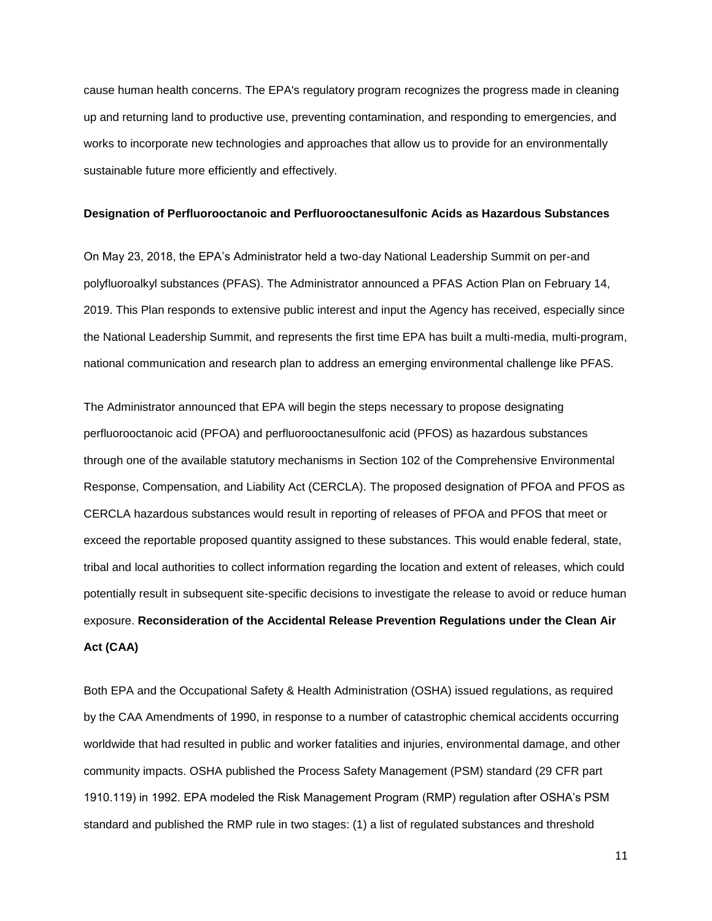cause human health concerns. The EPA's regulatory program recognizes the progress made in cleaning up and returning land to productive use, preventing contamination, and responding to emergencies, and works to incorporate new technologies and approaches that allow us to provide for an environmentally sustainable future more efficiently and effectively.

#### **Designation of Perfluorooctanoic and Perfluorooctanesulfonic Acids as Hazardous Substances**

On May 23, 2018, the EPA's Administrator held a two-day National Leadership Summit on per-and polyfluoroalkyl substances (PFAS). The Administrator announced a PFAS Action Plan on February 14, 2019. This Plan responds to extensive public interest and input the Agency has received, especially since the National Leadership Summit, and represents the first time EPA has built a multi-media, multi-program, national communication and research plan to address an emerging environmental challenge like PFAS.

The Administrator announced that EPA will begin the steps necessary to propose designating perfluorooctanoic acid (PFOA) and perfluorooctanesulfonic acid (PFOS) as hazardous substances through one of the available statutory mechanisms in Section 102 of the Comprehensive Environmental Response, Compensation, and Liability Act (CERCLA). The proposed designation of PFOA and PFOS as CERCLA hazardous substances would result in reporting of releases of PFOA and PFOS that meet or exceed the reportable proposed quantity assigned to these substances. This would enable federal, state, tribal and local authorities to collect information regarding the location and extent of releases, which could potentially result in subsequent site-specific decisions to investigate the release to avoid or reduce human exposure. **Reconsideration of the Accidental Release Prevention Regulations under the Clean Air Act (CAA)**

Both EPA and the Occupational Safety & Health Administration (OSHA) issued regulations, as required by the CAA Amendments of 1990, in response to a number of catastrophic chemical accidents occurring worldwide that had resulted in public and worker fatalities and injuries, environmental damage, and other community impacts. OSHA published the Process Safety Management (PSM) standard (29 CFR part 1910.119) in 1992. EPA modeled the Risk Management Program (RMP) regulation after OSHA's PSM standard and published the RMP rule in two stages: (1) a list of regulated substances and threshold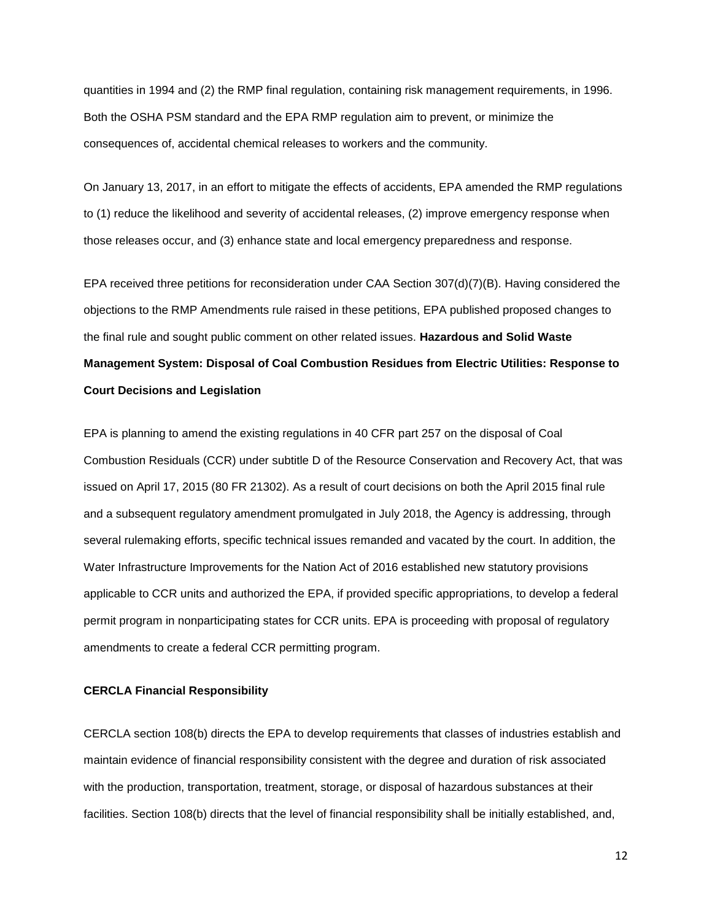quantities in 1994 and (2) the RMP final regulation, containing risk management requirements, in 1996. Both the OSHA PSM standard and the EPA RMP regulation aim to prevent, or minimize the consequences of, accidental chemical releases to workers and the community.

On January 13, 2017, in an effort to mitigate the effects of accidents, EPA amended the RMP regulations to (1) reduce the likelihood and severity of accidental releases, (2) improve emergency response when those releases occur, and (3) enhance state and local emergency preparedness and response.

EPA received three petitions for reconsideration under CAA Section 307(d)(7)(B). Having considered the objections to the RMP Amendments rule raised in these petitions, EPA published proposed changes to the final rule and sought public comment on other related issues. **Hazardous and Solid Waste Management System: Disposal of Coal Combustion Residues from Electric Utilities: Response to Court Decisions and Legislation**

EPA is planning to amend the existing regulations in 40 CFR part 257 on the disposal of Coal Combustion Residuals (CCR) under subtitle D of the Resource Conservation and Recovery Act, that was issued on April 17, 2015 (80 FR 21302). As a result of court decisions on both the April 2015 final rule and a subsequent regulatory amendment promulgated in July 2018, the Agency is addressing, through several rulemaking efforts, specific technical issues remanded and vacated by the court. In addition, the Water Infrastructure Improvements for the Nation Act of 2016 established new statutory provisions applicable to CCR units and authorized the EPA, if provided specific appropriations, to develop a federal permit program in nonparticipating states for CCR units. EPA is proceeding with proposal of regulatory amendments to create a federal CCR permitting program.

#### **CERCLA Financial Responsibility**

CERCLA section 108(b) directs the EPA to develop requirements that classes of industries establish and maintain evidence of financial responsibility consistent with the degree and duration of risk associated with the production, transportation, treatment, storage, or disposal of hazardous substances at their facilities. Section 108(b) directs that the level of financial responsibility shall be initially established, and,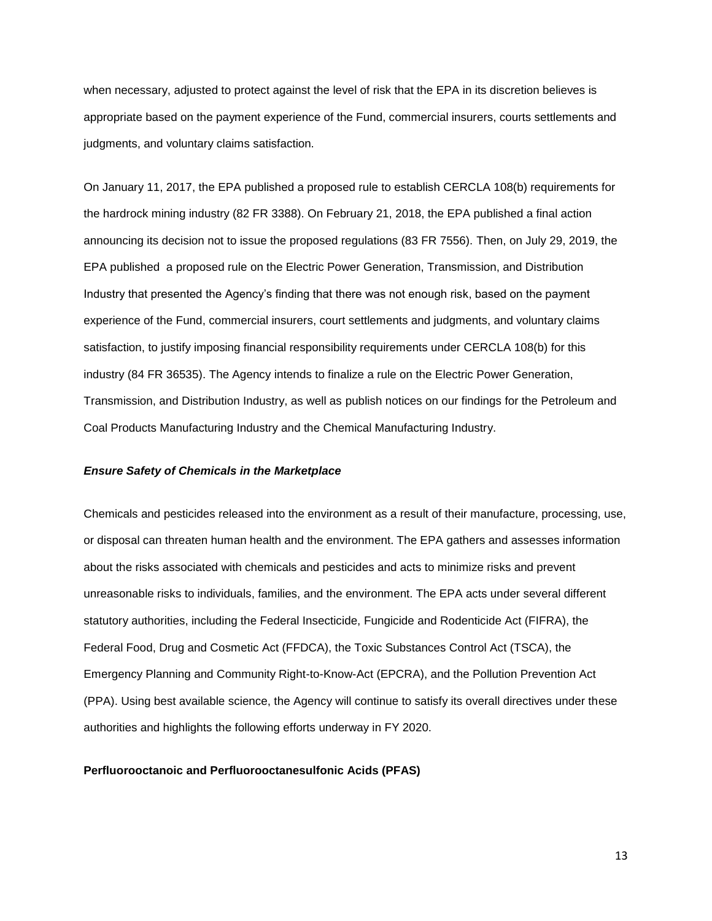when necessary, adjusted to protect against the level of risk that the EPA in its discretion believes is appropriate based on the payment experience of the Fund, commercial insurers, courts settlements and judgments, and voluntary claims satisfaction.

On January 11, 2017, the EPA published a proposed rule to establish CERCLA 108(b) requirements for the hardrock mining industry (82 FR 3388). On February 21, 2018, the EPA published a final action announcing its decision not to issue the proposed regulations (83 FR 7556). Then, on July 29, 2019, the EPA published a proposed rule on the Electric Power Generation, Transmission, and Distribution Industry that presented the Agency's finding that there was not enough risk, based on the payment experience of the Fund, commercial insurers, court settlements and judgments, and voluntary claims satisfaction, to justify imposing financial responsibility requirements under CERCLA 108(b) for this industry (84 FR 36535). The Agency intends to finalize a rule on the Electric Power Generation, Transmission, and Distribution Industry, as well as publish notices on our findings for the Petroleum and Coal Products Manufacturing Industry and the Chemical Manufacturing Industry.

#### *Ensure Safety of Chemicals in the Marketplace*

Chemicals and pesticides released into the environment as a result of their manufacture, processing, use, or disposal can threaten human health and the environment. The EPA gathers and assesses information about the risks associated with chemicals and pesticides and acts to minimize risks and prevent unreasonable risks to individuals, families, and the environment. The EPA acts under several different statutory authorities, including the Federal Insecticide, Fungicide and Rodenticide Act (FIFRA), the Federal Food, Drug and Cosmetic Act (FFDCA), the Toxic Substances Control Act (TSCA), the Emergency Planning and Community Right-to-Know-Act (EPCRA), and the Pollution Prevention Act (PPA). Using best available science, the Agency will continue to satisfy its overall directives under these authorities and highlights the following efforts underway in FY 2020.

#### **Perfluorooctanoic and Perfluorooctanesulfonic Acids (PFAS)**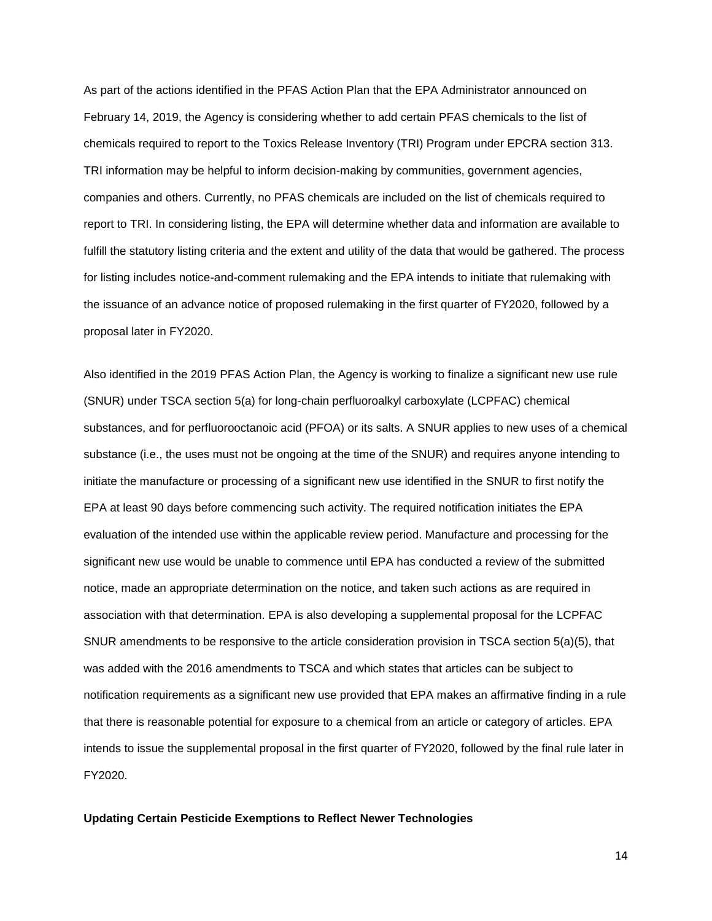As part of the actions identified in the PFAS Action Plan that the EPA Administrator announced on February 14, 2019, the Agency is considering whether to add certain PFAS chemicals to the list of chemicals required to report to the Toxics Release Inventory (TRI) Program under EPCRA section 313. TRI information may be helpful to inform decision-making by communities, government agencies, companies and others. Currently, no PFAS chemicals are included on the list of chemicals required to report to TRI. In considering listing, the EPA will determine whether data and information are available to fulfill the statutory listing criteria and the extent and utility of the data that would be gathered. The process for listing includes notice-and-comment rulemaking and the EPA intends to initiate that rulemaking with the issuance of an advance notice of proposed rulemaking in the first quarter of FY2020, followed by a proposal later in FY2020.

Also identified in the 2019 PFAS Action Plan, the Agency is working to finalize a significant new use rule (SNUR) under TSCA section 5(a) for long-chain perfluoroalkyl carboxylate (LCPFAC) chemical substances, and for perfluorooctanoic acid (PFOA) or its salts. A SNUR applies to new uses of a chemical substance (i.e., the uses must not be ongoing at the time of the SNUR) and requires anyone intending to initiate the manufacture or processing of a significant new use identified in the SNUR to first notify the EPA at least 90 days before commencing such activity. The required notification initiates the EPA evaluation of the intended use within the applicable review period. Manufacture and processing for the significant new use would be unable to commence until EPA has conducted a review of the submitted notice, made an appropriate determination on the notice, and taken such actions as are required in association with that determination. EPA is also developing a supplemental proposal for the LCPFAC SNUR amendments to be responsive to the article consideration provision in TSCA section 5(a)(5), that was added with the 2016 amendments to TSCA and which states that articles can be subject to notification requirements as a significant new use provided that EPA makes an affirmative finding in a rule that there is reasonable potential for exposure to a chemical from an article or category of articles. EPA intends to issue the supplemental proposal in the first quarter of FY2020, followed by the final rule later in FY2020.

#### **Updating Certain Pesticide Exemptions to Reflect Newer Technologies**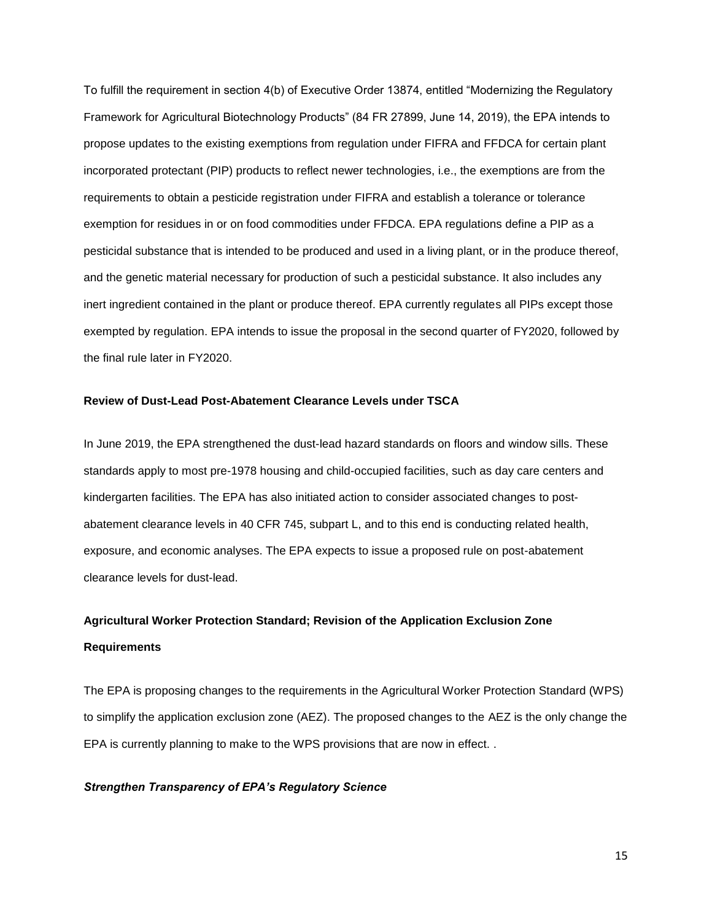To fulfill the requirement in section 4(b) of Executive Order 13874, entitled "Modernizing the Regulatory Framework for Agricultural Biotechnology Products" (84 FR 27899, June 14, 2019), the EPA intends to propose updates to the existing exemptions from regulation under FIFRA and FFDCA for certain plant incorporated protectant (PIP) products to reflect newer technologies, i.e., the exemptions are from the requirements to obtain a pesticide registration under FIFRA and establish a tolerance or tolerance exemption for residues in or on food commodities under FFDCA. EPA regulations define a PIP as a pesticidal substance that is intended to be produced and used in a living plant, or in the produce thereof, and the genetic material necessary for production of such a pesticidal substance. It also includes any inert ingredient contained in the plant or produce thereof. EPA currently regulates all PIPs except those exempted by regulation. EPA intends to issue the proposal in the second quarter of FY2020, followed by the final rule later in FY2020.

#### **Review of Dust-Lead Post-Abatement Clearance Levels under TSCA**

In June 2019, the EPA strengthened the dust-lead hazard standards on floors and window sills. These standards apply to most pre-1978 housing and child-occupied facilities, such as day care centers and kindergarten facilities. The EPA has also initiated action to consider associated changes to postabatement clearance levels in 40 CFR 745, subpart L, and to this end is conducting related health, exposure, and economic analyses. The EPA expects to issue a proposed rule on post-abatement clearance levels for dust-lead.

# **Agricultural Worker Protection Standard; Revision of the Application Exclusion Zone Requirements**

The EPA is proposing changes to the requirements in the Agricultural Worker Protection Standard (WPS) to simplify the application exclusion zone (AEZ). The proposed changes to the AEZ is the only change the EPA is currently planning to make to the WPS provisions that are now in effect. .

#### *Strengthen Transparency of EPA's Regulatory Science*